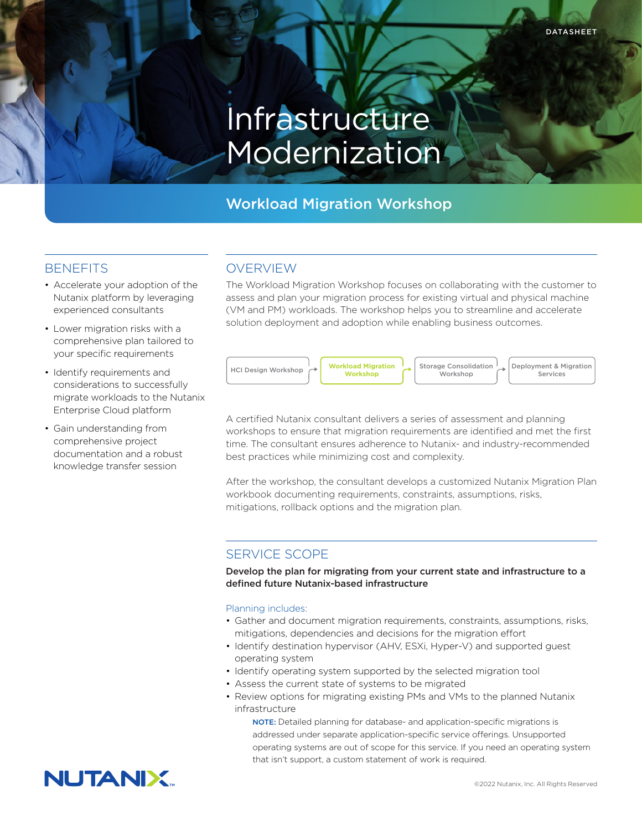# Infrastructure Modernization<sup>®</sup>

# Workload Migration Workshop

### **BENEFITS**

- Accelerate your adoption of the Nutanix platform by leveraging experienced consultants
- Lower migration risks with a comprehensive plan tailored to your specific requirements
- Identify requirements and considerations to successfully migrate workloads to the Nutanix Enterprise Cloud platform
- Gain understanding from comprehensive project documentation and a robust knowledge transfer session

# OVERVIEW

The Workload Migration Workshop focuses on collaborating with the customer to assess and plan your migration process for existing virtual and physical machine (VM and PM) workloads. The workshop helps you to streamline and accelerate solution deployment and adoption while enabling business outcomes.



A certified Nutanix consultant delivers a series of assessment and planning workshops to ensure that migration requirements are identified and met the first time. The consultant ensures adherence to Nutanix- and industry-recommended best practices while minimizing cost and complexity.

After the workshop, the consultant develops a customized Nutanix Migration Plan workbook documenting requirements, constraints, assumptions, risks, mitigations, rollback options and the migration plan.

# SERVICE SCOPE

Develop the plan for migrating from your current state and infrastructure to a defined future Nutanix-based infrastructure

#### Planning includes:

- Gather and document migration requirements, constraints, assumptions, risks, mitigations, dependencies and decisions for the migration effort
- Identify destination hypervisor (AHV, ESXi, Hyper-V) and supported guest operating system
- Identify operating system supported by the selected migration tool
- Assess the current state of systems to be migrated
- Review options for migrating existing PMs and VMs to the planned Nutanix infrastructure

NOTE: Detailed planning for database- and application-specific migrations is addressed under separate application-specific service offerings. Unsupported operating systems are out of scope for this service. If you need an operating system that isn't support, a custom statement of work is required.